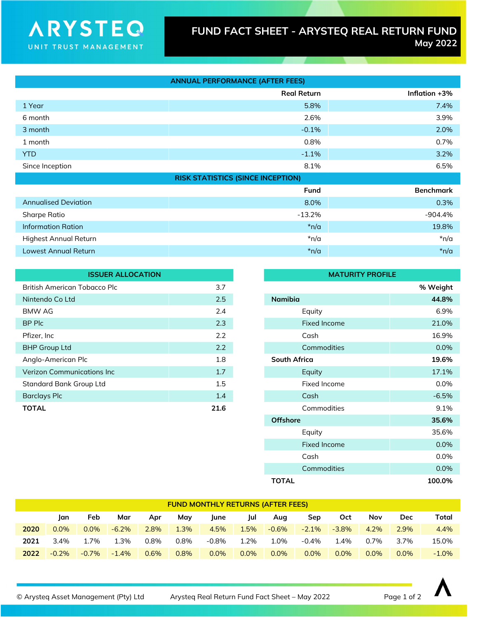## FUND FACT SHEET - ARYSTEQ REAL RETURN FUND<br>May 2022 May 2022

|                             | <b>ANNUAL PERFORMANCE (AFTER FEES)</b>   |                  |
|-----------------------------|------------------------------------------|------------------|
|                             | <b>Real Return</b>                       | Inflation +3%    |
| 1 Year                      | 5.8%                                     | 7.4%             |
| 6 month                     | 2.6%                                     | 3.9%             |
| 3 month                     | $-0.1%$                                  | 2.0%             |
| 1 month                     | 0.8%                                     | 0.7%             |
| <b>YTD</b>                  | $-1.1\%$                                 | 3.2%             |
| Since Inception             | 8.1%                                     | 6.5%             |
|                             | <b>RISK STATISTICS (SINCE INCEPTION)</b> |                  |
|                             | <b>Fund</b>                              | <b>Benchmark</b> |
| <b>Annualised Deviation</b> | 8.0%                                     | 0.3%             |
| <b>Sharpe Ratio</b>         | $-13.2%$                                 | $-904.4%$        |
| <b>Information Ration</b>   | $*n/a$                                   | 19.8%            |
| Highest Annual Return       | $*n/a$                                   | $*n/a$           |
| Lowest Annual Return        | $*n/a$                                   | $*n/a$           |

| <b>ISSUER ALLOCATION</b>            |      | <b>MATURITY PROFILE</b> |                     |          |
|-------------------------------------|------|-------------------------|---------------------|----------|
| <b>British American Tobacco Plc</b> | 3.7  |                         |                     | % Weight |
| Nintendo Co Ltd                     | 2.5  | <b>Namibia</b>          |                     | 44.8%    |
| <b>BMW AG</b>                       | 2.4  |                         | Equity              | 6.9%     |
| BP Plc                              | 2.3  |                         | Fixed Income        | 21.0%    |
| Pfizer, Inc                         | 2.2  |                         | Cash                | 16.9%    |
| <b>BHP Group Ltd</b>                | 2.2  |                         | Commodities         | $0.0\%$  |
| Anglo-American Plc                  | 1.8  |                         | <b>South Africa</b> |          |
| <b>Verizon Communications Inc.</b>  | 1.7  |                         | Equity              | 17.1%    |
| <b>Standard Bank Group Ltd</b>      | 1.5  |                         | Fixed Income        | $0.0\%$  |
| <b>Barclays Plc</b>                 | 1.4  |                         | Cash                | $-6.5%$  |
| <b>TOTAL</b>                        | 21.6 |                         | Commodities         | 9.1%     |
|                                     |      |                         |                     |          |

**ARYSTEO** 

UNIT TRUST MANAGEMENT

| <b>MATURITY PROFILE</b> |          |  |  |  |  |
|-------------------------|----------|--|--|--|--|
|                         | % Weight |  |  |  |  |
| <b>Namibia</b>          | 44.8%    |  |  |  |  |
| Equity                  | 6.9%     |  |  |  |  |
| <b>Fixed Income</b>     | 21.0%    |  |  |  |  |
| Cash                    | 16.9%    |  |  |  |  |
| Commodities             | $0.0\%$  |  |  |  |  |
| South Africa            | 19.6%    |  |  |  |  |
| Equity                  | 17.1%    |  |  |  |  |
| <b>Fixed Income</b>     | 0.0%     |  |  |  |  |
| Cash                    | $-6.5%$  |  |  |  |  |
| Commodities             | 9.1%     |  |  |  |  |
| <b>Offshore</b>         | 35.6%    |  |  |  |  |
| Equity                  | 35.6%    |  |  |  |  |
| <b>Fixed Income</b>     | 0.0%     |  |  |  |  |
| Cash                    | 0.0%     |  |  |  |  |
| Commodities             | 0.0%     |  |  |  |  |
| <b>TOTAL</b>            | 100.0%   |  |  |  |  |

| <b>FUND MONTHLY RETURNS (AFTER FEES)</b> |         |          |          |      |      |         |      |          |          |          |         |            |          |
|------------------------------------------|---------|----------|----------|------|------|---------|------|----------|----------|----------|---------|------------|----------|
|                                          | lan     | Feb      | Mar      | Apr  | Mav  | June    | lul  | Aug      | Sep      | Oct      | Nov     | <b>Dec</b> | Total    |
| 2020                                     | $0.0\%$ | $0.0\%$  | $-6.2\%$ | 2.8% | 1.3% | 4.5%    | 1.5% | $-0.6\%$ | $-2.1\%$ | $-3.8\%$ | 4.2%    | 2.9%       | 4.4%     |
| 2021                                     | $3.4\%$ | 1.7%     | 1.3%     | 0.8% | 0.8% | -0.8%   | 1.2% | 1.0%     | $-0.4\%$ | 1.4%     | $0.7\%$ | 3.7%       | 15.0%    |
| 2022                                     | $-0.2%$ | $-0.7\%$ | $-1.4%$  | 0.6% | 0.8% | $0.0\%$ | 0.0% | $0.0\%$  | $0.0\%$  | 0.0%     | 0.0%    | $0.0\%$    | $-1.0\%$ |